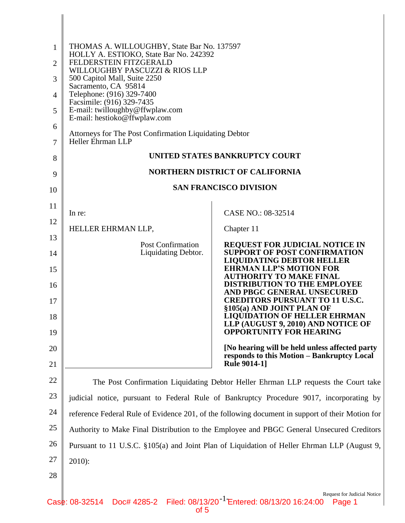| 1              | THOMAS A. WILLOUGHBY, State Bar No. 137597<br>HOLLY A. ESTIOKO, State Bar No. 242392             |                                                                                                                            |  |
|----------------|--------------------------------------------------------------------------------------------------|----------------------------------------------------------------------------------------------------------------------------|--|
| $\overline{2}$ | FELDERSTEIN FITZGERALD<br>WILLOUGHBY PASCUZZI & RIOS LLP                                         |                                                                                                                            |  |
| 3              | 500 Capitol Mall, Suite 2250<br>Sacramento, CA 95814                                             |                                                                                                                            |  |
| 4              | Telephone: (916) 329-7400<br>Facsimile: (916) 329-7435                                           |                                                                                                                            |  |
| 5              | E-mail: twilloughby@ffwplaw.com<br>E-mail: hestioko@ffwplaw.com                                  |                                                                                                                            |  |
| 6<br>7         | Attorneys for The Post Confirmation Liquidating Debtor<br><b>Heller Ehrman LLP</b>               |                                                                                                                            |  |
| 8              | UNITED STATES BANKRUPTCY COURT                                                                   |                                                                                                                            |  |
| 9              | <b>NORTHERN DISTRICT OF CALIFORNIA</b>                                                           |                                                                                                                            |  |
| 10             |                                                                                                  | <b>SAN FRANCISCO DIVISION</b>                                                                                              |  |
| 11             |                                                                                                  |                                                                                                                            |  |
| 12             | In re:                                                                                           | CASE NO.: 08-32514                                                                                                         |  |
|                | HELLER EHRMAN LLP,                                                                               | Chapter 11                                                                                                                 |  |
| 13<br>14       | <b>Post Confirmation</b><br>Liquidating Debtor.                                                  | <b>REQUEST FOR JUDICIAL NOTICE IN</b><br><b>SUPPORT OF POST CONFIRMATION</b>                                               |  |
| 15             |                                                                                                  | <b>LIQUIDATING DEBTOR HELLER</b><br><b>EHRMAN LLP'S MOTION FOR</b>                                                         |  |
| 16             |                                                                                                  | <b>AUTHORITY TO MAKE FINAL</b><br><b>DISTRIBUTION TO THE EMPLOYEE</b><br>AND PBGC GENERAL UNSECURED                        |  |
| 17             |                                                                                                  | <b>CREDITORS PURSUANT TO 11 U.S.C.</b><br>§105(a) AND JOINT PLAN OF                                                        |  |
| 18<br>19       |                                                                                                  | <b>LIQUIDATION OF HELLER EHRMAN</b><br>LLP (AUGUST 9, 2010) AND NOTICE OF<br><b>OPPORTUNITY FOR HEARING</b>                |  |
| 20             |                                                                                                  | [No hearing will be held unless affected party                                                                             |  |
| 21             |                                                                                                  | responds to this Motion - Bankruptcy Local<br><b>Rule 9014-1]</b>                                                          |  |
| 22             | The Post Confirmation Liquidating Debtor Heller Ehrman LLP requests the Court take               |                                                                                                                            |  |
| 23             | judicial notice, pursuant to Federal Rule of Bankruptcy Procedure 9017, incorporating by         |                                                                                                                            |  |
| 24             | reference Federal Rule of Evidence 201, of the following document in support of their Motion for |                                                                                                                            |  |
| 25             | Authority to Make Final Distribution to the Employee and PBGC General Unsecured Creditors        |                                                                                                                            |  |
| 26             | Pursuant to 11 U.S.C. §105(a) and Joint Plan of Liquidation of Heller Ehrman LLP (August 9,      |                                                                                                                            |  |
| 27             | $2010$ :                                                                                         |                                                                                                                            |  |
| 28             |                                                                                                  |                                                                                                                            |  |
|                |                                                                                                  | <b>Request for Judicial Notice</b><br>08-32514 Doct 4285-2 Filed: 08/13/20 <sup>-1</sup> Entered: 08/13/20 16:24:00 Page 1 |  |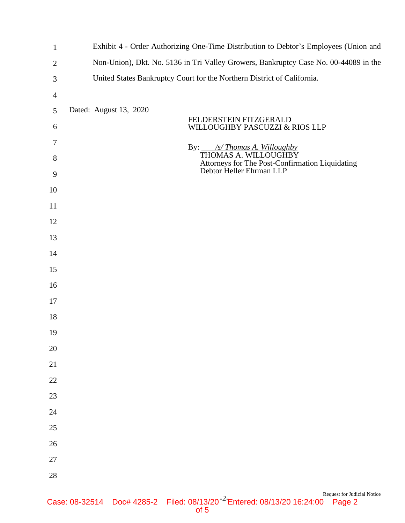| $\mathbf{1}$   | Exhibit 4 - Order Authorizing One-Time Distribution to Debtor's Employees (Union and                                                 |  |  |
|----------------|--------------------------------------------------------------------------------------------------------------------------------------|--|--|
| $\mathbf{2}$   | Non-Union), Dkt. No. 5136 in Tri Valley Growers, Bankruptcy Case No. 00-44089 in the                                                 |  |  |
| 3              | United States Bankruptcy Court for the Northern District of California.                                                              |  |  |
| $\overline{4}$ |                                                                                                                                      |  |  |
| $\mathfrak{S}$ | Dated: August 13, 2020                                                                                                               |  |  |
| 6              | FELDERSTEIN FITZGERALD<br>WILLOUGHBY PASCUZZI & RIOS LLP                                                                             |  |  |
| $\tau$         | By: $\angle$ /s/ Thomas A. Willoughby                                                                                                |  |  |
| 8              | THOMAS A. WILLOUGHBY<br>Attorneys for The Post-Confirmation Liquidating<br>Debtor Heller Ehrman LLP                                  |  |  |
| 9              |                                                                                                                                      |  |  |
| 10             |                                                                                                                                      |  |  |
| 11             |                                                                                                                                      |  |  |
| 12             |                                                                                                                                      |  |  |
| 13             |                                                                                                                                      |  |  |
| 14             |                                                                                                                                      |  |  |
| 15             |                                                                                                                                      |  |  |
| 16             |                                                                                                                                      |  |  |
| 17             |                                                                                                                                      |  |  |
| 18             |                                                                                                                                      |  |  |
| 19             |                                                                                                                                      |  |  |
| 20             |                                                                                                                                      |  |  |
| 21             |                                                                                                                                      |  |  |
| 22             |                                                                                                                                      |  |  |
| 23             |                                                                                                                                      |  |  |
| 24             |                                                                                                                                      |  |  |
| 25             |                                                                                                                                      |  |  |
| 26             |                                                                                                                                      |  |  |
| 27             |                                                                                                                                      |  |  |
| $28\,$         |                                                                                                                                      |  |  |
|                | Request for Judicial Notice<br>Doc# 4285-2 Filed: 08/13/20 <sup>-2</sup> Entered: 08/13/20 16:24:00 Page 2<br>Case: 08-32514<br>of 5 |  |  |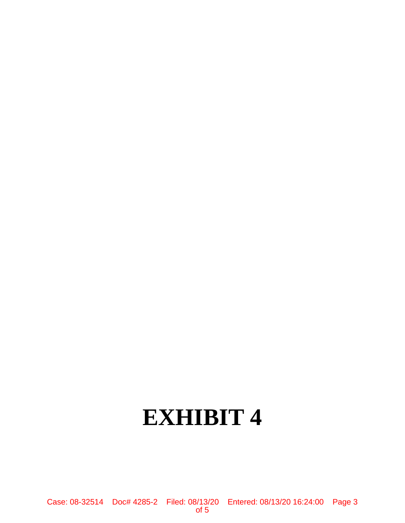## **EXHIBIT 4**

Case: 08-32514 Doc# 4285-2 Filed: 08/13/20 Entered: 08/13/20 16:24:00 Page 3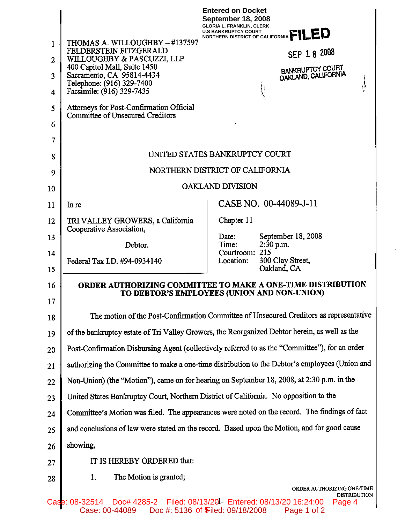|                |                                                                                                | <b>Entered on Docket</b><br><b>September 18, 2008</b><br><b>GLORIA L. FRANKLIN, CLERK</b><br>NORTHERN DISTRICT OF CALIFORNIA <sup>T</sup> |  |
|----------------|------------------------------------------------------------------------------------------------|-------------------------------------------------------------------------------------------------------------------------------------------|--|
| 1              | THOMAS A. WILLOUGHBY - #137597<br>FELDERSTEIN FITZGERALD                                       |                                                                                                                                           |  |
| $\overline{2}$ | WILLOUGHBY & PASCUZZI, LLP<br>400 Capitol Mall, Suite 1450                                     | SEP 18 2008                                                                                                                               |  |
| 3<br>4         | Sacramento, CA 95814-4434<br>Telephone: (916) 329-7400<br>Facsimile: (916) 329-7435            | BANKRUPTCY COURT<br>OAKLAND, CALIFORNIA<br>$\mathcal{P}_{\text{in}}$ continuous $\mathcal{P}_{\text{in}}$                                 |  |
| 5              | Attorneys for Post-Confirmation Official                                                       |                                                                                                                                           |  |
| 6              | <b>Committee of Unsecured Creditors</b>                                                        |                                                                                                                                           |  |
| 7              |                                                                                                |                                                                                                                                           |  |
| 8              | UNITED STATES BANKRUPTCY COURT                                                                 |                                                                                                                                           |  |
| 9              | NORTHERN DISTRICT OF CALIFORNIA                                                                |                                                                                                                                           |  |
| 10             | <b>OAKLAND DIVISION</b>                                                                        |                                                                                                                                           |  |
| 11             | In re                                                                                          | CASE NO. 00-44089-J-11                                                                                                                    |  |
| 12             | TRI VALLEY GROWERS, a California                                                               | Chapter 11                                                                                                                                |  |
| 13             | Cooperative Association,                                                                       | September 18, 2008<br>Date:                                                                                                               |  |
| 14             | Debtor.                                                                                        | Time:<br>$2:30$ p.m.<br>Courtroom: 215                                                                                                    |  |
| 15             | Federal Tax I.D. #94-0934140                                                                   | Location:<br>300 Clay Street,<br>Oakland, CA                                                                                              |  |
| 16             | ORDER AUTHORIZING COMMITTEE TO MAKE A ONE-TIME DISTRIBUTION                                    |                                                                                                                                           |  |
| 17             |                                                                                                | TO DEBTOR'S EMPLOYEES (UNION AND NON-UNION)                                                                                               |  |
| 18             | The motion of the Post-Confirmation Committee of Unsecured Creditors as representative         |                                                                                                                                           |  |
| 19             | of the bankruptcy estate of Tri Valley Growers, the Reorganized Debtor herein, as well as the  |                                                                                                                                           |  |
| 20             |                                                                                                | Post-Confirmation Disbursing Agent (collectively referred to as the "Committee"), for an order                                            |  |
| 21             | authorizing the Committee to make a one-time distribution to the Debtor's employees (Union and |                                                                                                                                           |  |
| 22             | Non-Union) (the "Motion"), came on for hearing on September 18, 2008, at 2:30 p.m. in the      |                                                                                                                                           |  |
| 23             | United States Bankruptcy Court, Northern District of California. No opposition to the          |                                                                                                                                           |  |
| 24             | Committee's Motion was filed. The appearances were noted on the record. The findings of fact   |                                                                                                                                           |  |
| 25             | and conclusions of law were stated on the record. Based upon the Motion, and for good cause    |                                                                                                                                           |  |
| 26             | showing,                                                                                       |                                                                                                                                           |  |
| 27             | IT IS HEREBY ORDERED that:                                                                     |                                                                                                                                           |  |
| 28             | The Motion is granted;<br>1.                                                                   |                                                                                                                                           |  |
|                | Case: 08-32514                                                                                 | ORDER AUTHORIZING ONE-TIME<br><b>DISTRIBUTION</b><br>Doc# 4285-2 Filed: 08/13/20 Entered: 08/13/20 16:24:00<br>Page 4                     |  |

Case: 00-44089 Doc #: 5136 of Filed: 09/18/2008 Page 1 of 2 of 5